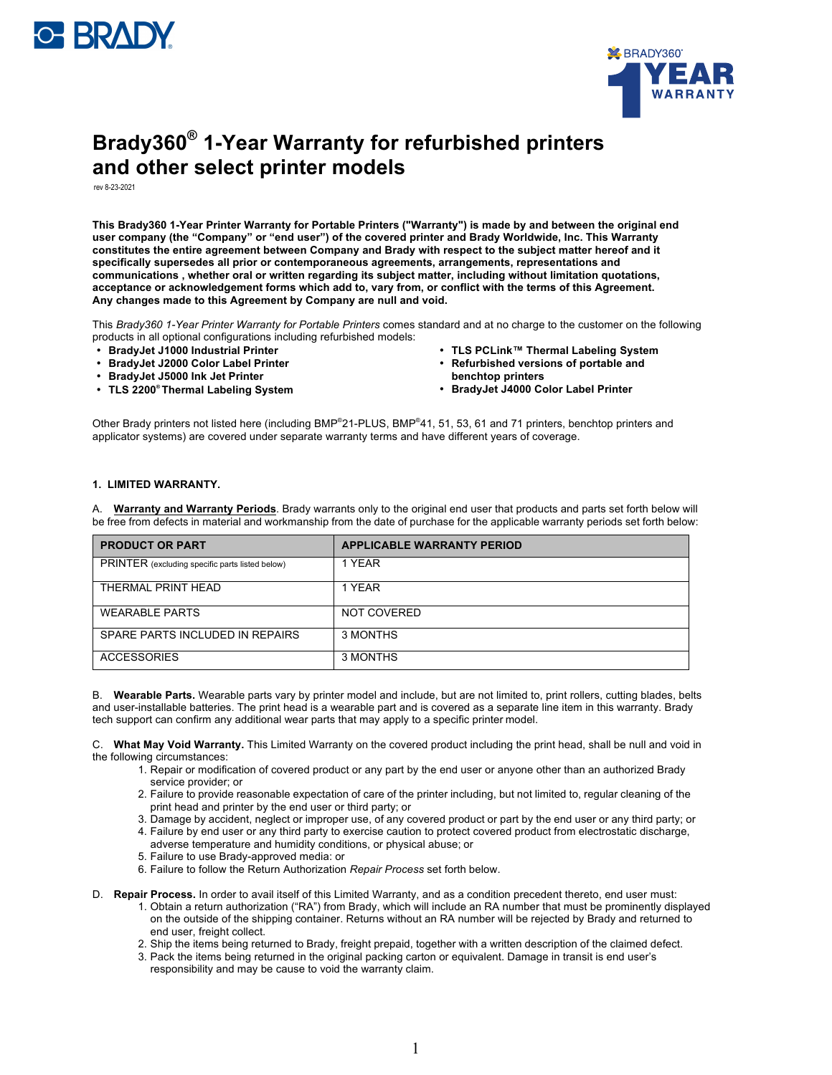



## **Brady360® 1-Year Warranty for refurbished printers and other select printer models**

rev 8-23-2021

This Brady360 1-Year Printer Warranty for Portable Printers ("Warranty") is made by and between the original end **user company (the "Company" or "end user") of the covered printer and Brady Worldwide, Inc. This Warranty constitutes the entire agreement between Company and Brady with respect to the subject matter hereof and it specifically supersedes all prior or contemporaneous agreements, arrangements, representations and communications , whether oral or written regarding its subject matter, including without limitation quotations, acceptance or acknowledgement forms which add to, vary from, or conflict with the terms of this Agreement. Any changes made to this Agreement by Company are null and void.**

This *Brady360 1-Year Printer Warranty for Portable Printers* comes standard and at no charge to the customer on the following products in all optional configurations including refurbished models:

- **BradyJet J1000 Industrial Printer**
- **BradyJet J2000 Color Label Printer**
- **BradyJet J5000 Ink Jet Printer**
- **TLS 2200® Thermal Labeling System**
- **TLS PCLink™ Thermal Labeling System**
- **Refurbished versions of portable and benchtop printers**
- **BradyJet J4000 Color Label Printer**

Other Brady printers not listed here (including BMP®21-PLUS, BMP®41, 51, 53, 61 and 71 printers, benchtop printers and applicator systems) are covered under separate warranty terms and have different years of coverage.

## **1. LIMITED WARRANTY.**

A. **Warranty and Warranty Periods**. Brady warrants only to the original end user that products and parts set forth below will be free from defects in material and workmanship from the date of purchase for the applicable warranty periods set forth below:

| <b>PRODUCT OR PART</b>                          | <b>APPLICABLE WARRANTY PERIOD</b> |
|-------------------------------------------------|-----------------------------------|
| PRINTER (excluding specific parts listed below) | 1 YFAR                            |
| THERMAL PRINT HEAD                              | 1 YEAR                            |
| <b>WEARABLE PARTS</b>                           | NOT COVERED                       |
| SPARE PARTS INCLUDED IN REPAIRS                 | 3 MONTHS                          |
| <b>ACCESSORIES</b>                              | 3 MONTHS                          |

B. **Wearable Parts.** Wearable parts vary by printer model and include, but are not limited to, print rollers, cutting blades, belts and user-installable batteries. The print head is a wearable part and is covered as a separate line item in this warranty. Brady tech support can confirm any additional wear parts that may apply to a specific printer model.

C. **What May Void Warranty.** This Limited Warranty on the covered product including the print head, shall be null and void in the following circumstances:

- 1. Repair or modification of covered product or any part by the end user or anyone other than an authorized Brady service provider; or
- 2. Failure to provide reasonable expectation of care of the printer including, but not limited to, regular cleaning of the print head and printer by the end user or third party; or
- 3. Damage by accident, neglect or improper use, of any covered product or part by the end user or any third party; or
- 4. Failure by end user or any third party to exercise caution to protect covered product from electrostatic discharge, adverse temperature and humidity conditions, or physical abuse; or
- 5. Failure to use Brady-approved media: or
- 6. Failure to follow the Return Authorization *Repair Process* set forth below.
- D. **Repair Process.** In order to avail itself of this Limited Warranty, and as a condition precedent thereto, end user must: 1. Obtain a return authorization ("RA") from Brady, which will include an RA number that must be prominently displayed
	- on the outside of the shipping container. Returns without an RA number will be rejected by Brady and returned to end user, freight collect.
	- 2. Ship the items being returned to Brady, freight prepaid, together with a written description of the claimed defect.
	- 3. Pack the items being returned in the original packing carton or equivalent. Damage in transit is end user's responsibility and may be cause to void the warranty claim.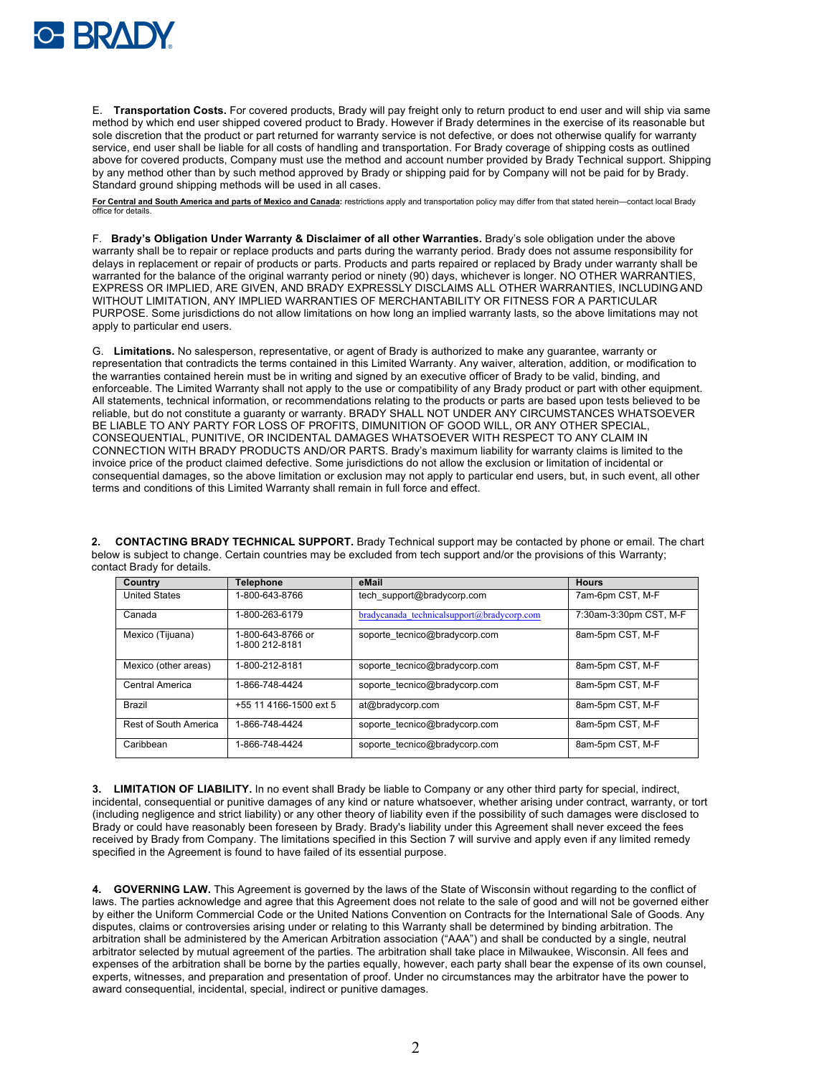

E. **Transportation Costs.** For covered products, Brady will pay freight only to return product to end user and will ship via same method by which end user shipped covered product to Brady. However if Brady determines in the exercise of its reasonable but sole discretion that the product or part returned for warranty service is not defective, or does not otherwise qualify for warranty service, end user shall be liable for all costs of handling and transportation. For Brady coverage of shipping costs as outlined above for covered products, Company must use the method and account number provided by Brady Technical support. Shipping by any method other than by such method approved by Brady or shipping paid for by Company will not be paid for by Brady. Standard ground shipping methods will be used in all cases.

For Central and South America and parts of Mexico and Canada: restrictions apply and transportation policy may differ from that stated herein-contact local Brady office for details.

F. **Brady's Obligation Under Warranty & Disclaimer of all other Warranties.** Brady's sole obligation under the above warranty shall be to repair or replace products and parts during the warranty period. Brady does not assume responsibility for delays in replacement or repair of products or parts. Products and parts repaired or replaced by Brady under warranty shall be warranted for the balance of the original warranty period or ninety (90) days, whichever is longer. NO OTHER WARRANTIES, EXPRESS OR IMPLIED, ARE GIVEN, AND BRADY EXPRESSLY DISCLAIMS ALL OTHER WARRANTIES, INCLUDINGAND WITHOUT LIMITATION, ANY IMPLIED WARRANTIES OF MERCHANTABILITY OR FITNESS FOR A PARTICULAR PURPOSE. Some jurisdictions do not allow limitations on how long an implied warranty lasts, so the above limitations may not apply to particular end users.

G. **Limitations.** No salesperson, representative, or agent of Brady is authorized to make any guarantee, warranty or representation that contradicts the terms contained in this Limited Warranty. Any waiver, alteration, addition, or modification to the warranties contained herein must be in writing and signed by an executive officer of Brady to be valid, binding, and enforceable. The Limited Warranty shall not apply to the use or compatibility of any Brady product or part with other equipment. All statements, technical information, or recommendations relating to the products or parts are based upon tests believed to be reliable, but do not constitute a guaranty or warranty. BRADY SHALL NOT UNDER ANY CIRCUMSTANCES WHATSOEVER BE LIABLE TO ANY PARTY FOR LOSS OF PROFITS, DIMUNITION OF GOOD WILL, OR ANY OTHER SPECIAL, CONSEQUENTIAL, PUNITIVE, OR INCIDENTAL DAMAGES WHATSOEVER WITH RESPECT TO ANY CLAIM IN CONNECTION WITH BRADY PRODUCTS AND/OR PARTS. Brady's maximum liability for warranty claims is limited to the invoice price of the product claimed defective. Some jurisdictions do not allow the exclusion or limitation of incidental or consequential damages, so the above limitation or exclusion may not apply to particular end users, but, in such event, all other terms and conditions of this Limited Warranty shall remain in full force and effect.

**2. CONTACTING BRADY TECHNICAL SUPPORT.** Brady Technical support may be contacted by phone or email. The chart below is subject to change. Certain countries may be excluded from tech support and/or the provisions of this Warranty; contact Brady for details.

| Country               | <b>Telephone</b>                    | eMail                                      | <b>Hours</b>           |
|-----------------------|-------------------------------------|--------------------------------------------|------------------------|
| <b>United States</b>  | 1-800-643-8766                      | tech support@bradycorp.com                 | 7am-6pm CST, M-F       |
| Canada                | 1-800-263-6179                      | bradycanada technicalsupport@bradycorp.com | 7:30am-3:30pm CST, M-F |
| Mexico (Tijuana)      | 1-800-643-8766 or<br>1-800 212-8181 | soporte tecnico@bradycorp.com              | 8am-5pm CST, M-F       |
| Mexico (other areas)  | 1-800-212-8181                      | soporte tecnico@bradycorp.com              | 8am-5pm CST, M-F       |
| Central America       | 1-866-748-4424                      | soporte tecnico@bradycorp.com              | 8am-5pm CST, M-F       |
| Brazil                | +55 11 4166-1500 ext 5              | at@bradycorp.com                           | 8am-5pm CST, M-F       |
| Rest of South America | 1-866-748-4424                      | soporte tecnico@bradycorp.com              | 8am-5pm CST, M-F       |
| Caribbean             | 1-866-748-4424                      | soporte tecnico@bradycorp.com              | 8am-5pm CST, M-F       |

**3. LIMITATION OF LIABILITY.** In no event shall Brady be liable to Company or any other third party for special, indirect, incidental, consequential or punitive damages of any kind or nature whatsoever, whether arising under contract, warranty, or tort (including negligence and strict liability) or any other theory of liability even if the possibility of such damages were disclosed to Brady or could have reasonably been foreseen by Brady. Brady's liability under this Agreement shall never exceed the fees received by Brady from Company. The limitations specified in this Section 7 will survive and apply even if any limited remedy specified in the Agreement is found to have failed of its essential purpose.

**4. GOVERNING LAW.** This Agreement is governed by the laws of the State of Wisconsin without regarding to the conflict of laws. The parties acknowledge and agree that this Agreement does not relate to the sale of good and will not be governed either by either the Uniform Commercial Code or the United Nations Convention on Contracts for the International Sale of Goods. Any disputes, claims or controversies arising under or relating to this Warranty shall be determined by binding arbitration. The arbitration shall be administered by the American Arbitration association ("AAA") and shall be conducted by a single, neutral arbitrator selected by mutual agreement of the parties. The arbitration shall take place in Milwaukee, Wisconsin. All fees and expenses of the arbitration shall be borne by the parties equally, however, each party shall bear the expense of its own counsel, experts, witnesses, and preparation and presentation of proof. Under no circumstances may the arbitrator have the power to award consequential, incidental, special, indirect or punitive damages.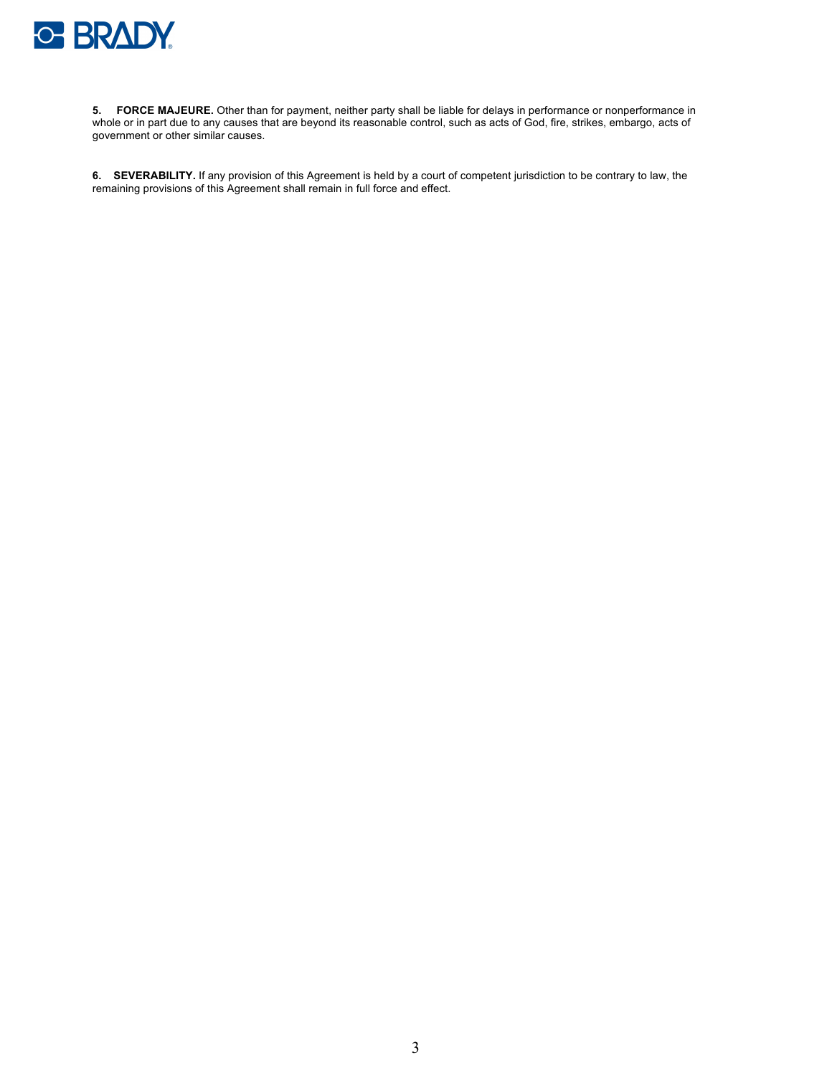

**5. FORCE MAJEURE.** Other than for payment, neither party shall be liable for delays in performance or nonperformance in whole or in part due to any causes that are beyond its reasonable control, such as acts of God, fire, strikes, embargo, acts of government or other similar causes.

**6. SEVERABILITY.** If any provision of this Agreement is held by a court of competent jurisdiction to be contrary to law, the remaining provisions of this Agreement shall remain in full force and effect.